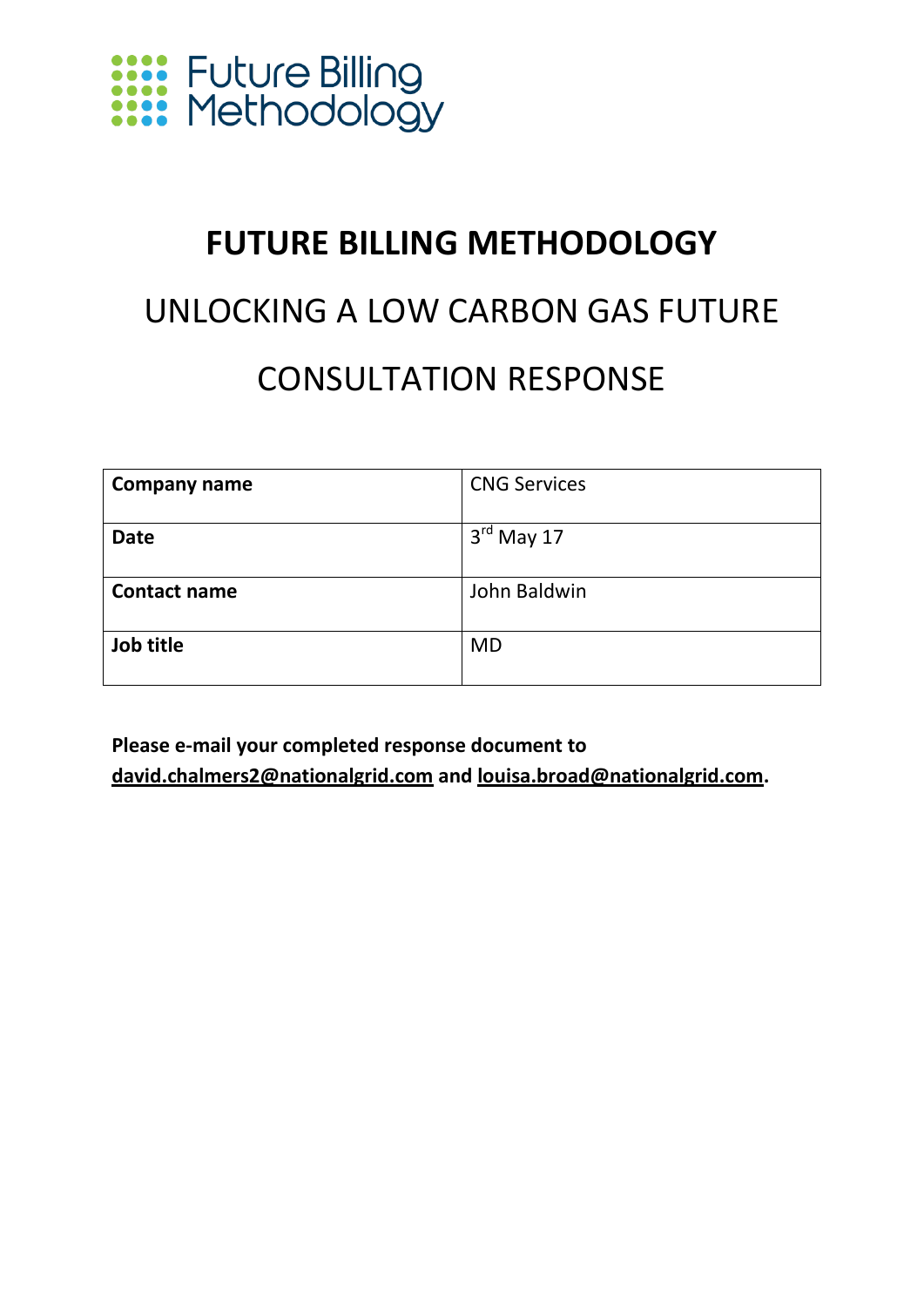

### **FUTURE BILLING METHODOLOGY**

### UNLOCKING A LOW CARBON GAS FUTURE CONSULTATION RESPONSE

| <b>Company name</b> | <b>CNG Services</b>    |
|---------------------|------------------------|
| <b>Date</b>         | $3^{\text{rd}}$ May 17 |
|                     |                        |
| <b>Contact name</b> | John Baldwin           |
|                     |                        |
| Job title           | <b>MD</b>              |
|                     |                        |

**Please e-mail your completed response document to [david.chalmers2@nationalgrid.com](mailto:david.chalmers2@nationalgrid.com) and [louisa.broad@nationalgrid.com.](mailto:louisa.broad@nationalgrid.com)**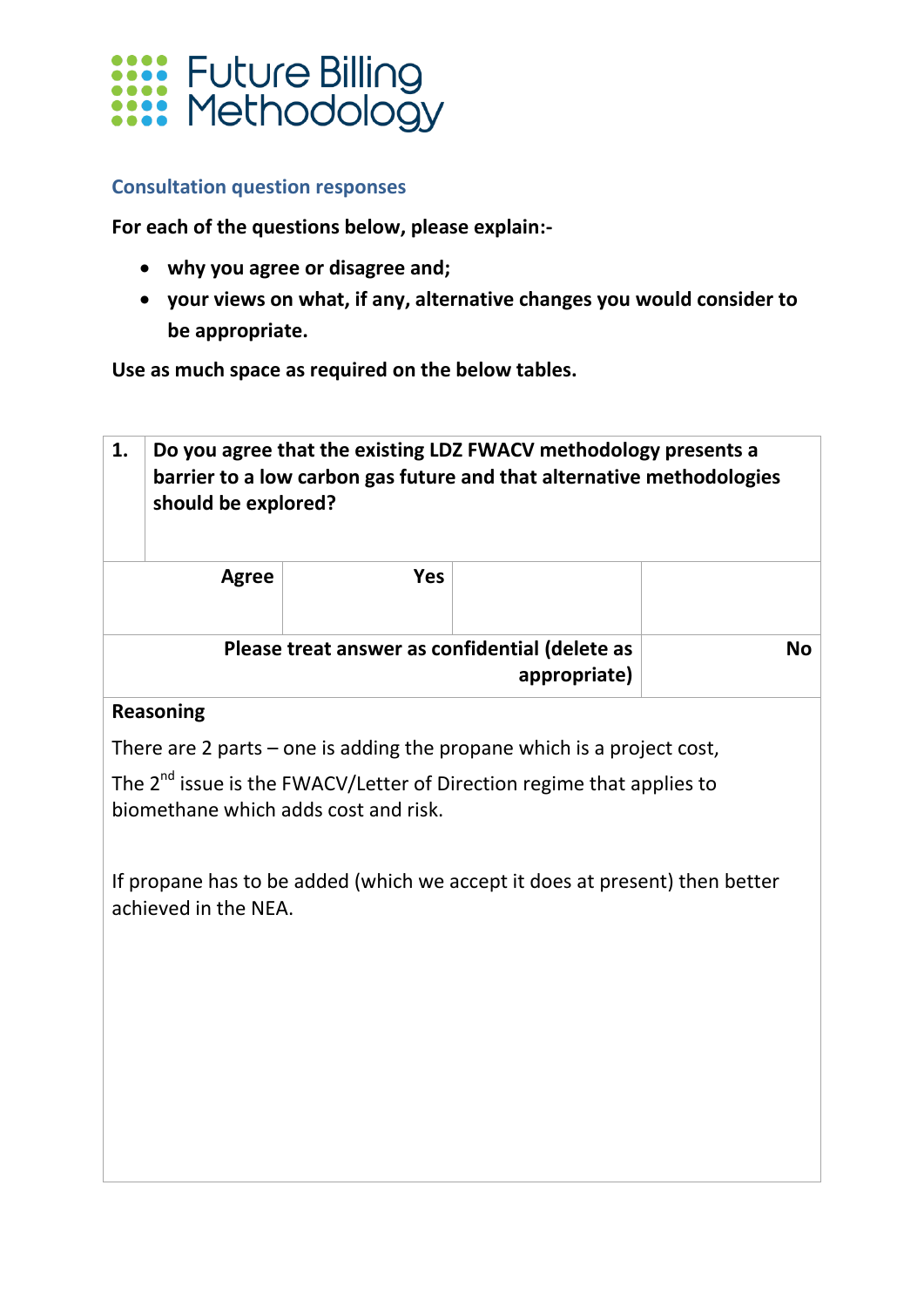

#### **Consultation question responses**

**For each of the questions below, please explain:-**

- **why you agree or disagree and;**
- **your views on what, if any, alternative changes you would consider to be appropriate.**

**Use as much space as required on the below tables.**

| Do you agree that the existing LDZ FWACV methodology presents a<br>barrier to a low carbon gas future and that alternative methodologies<br>should be explored? |                  |  |                                                                                                                                            |  |
|-----------------------------------------------------------------------------------------------------------------------------------------------------------------|------------------|--|--------------------------------------------------------------------------------------------------------------------------------------------|--|
| <b>Agree</b>                                                                                                                                                    | <b>Yes</b>       |  |                                                                                                                                            |  |
|                                                                                                                                                                 |                  |  | <b>No</b>                                                                                                                                  |  |
|                                                                                                                                                                 |                  |  |                                                                                                                                            |  |
|                                                                                                                                                                 |                  |  |                                                                                                                                            |  |
|                                                                                                                                                                 |                  |  |                                                                                                                                            |  |
| The 2 <sup>nd</sup> issue is the FWACV/Letter of Direction regime that applies to<br>biomethane which adds cost and risk.                                       |                  |  |                                                                                                                                            |  |
| If propane has to be added (which we accept it does at present) then better<br>achieved in the NEA.                                                             |                  |  |                                                                                                                                            |  |
|                                                                                                                                                                 |                  |  |                                                                                                                                            |  |
|                                                                                                                                                                 |                  |  |                                                                                                                                            |  |
|                                                                                                                                                                 |                  |  |                                                                                                                                            |  |
|                                                                                                                                                                 |                  |  |                                                                                                                                            |  |
|                                                                                                                                                                 |                  |  |                                                                                                                                            |  |
|                                                                                                                                                                 | <b>Reasoning</b> |  | Please treat answer as confidential (delete as<br>appropriate)<br>There are 2 parts $-$ one is adding the propane which is a project cost, |  |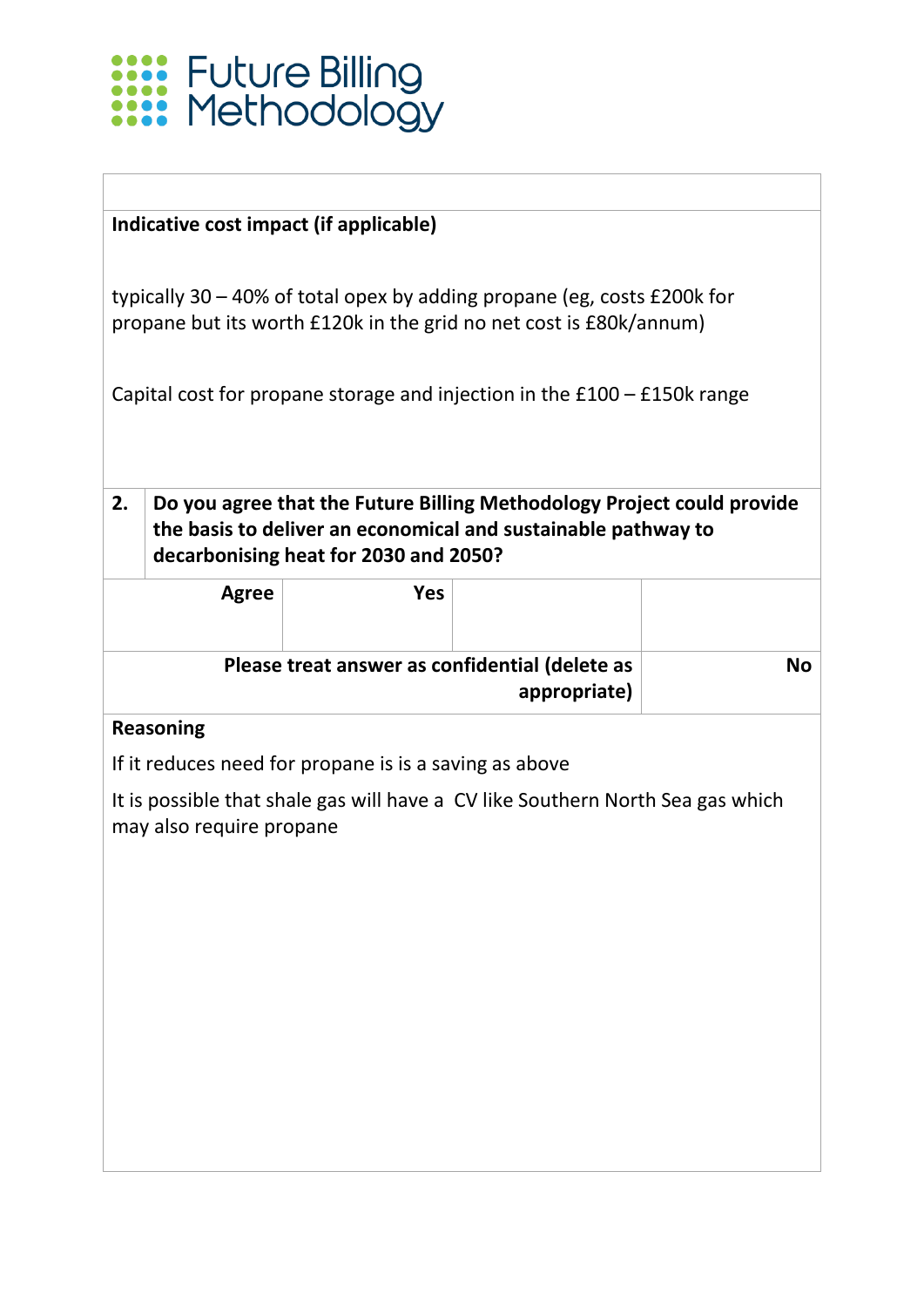

typically 30 – 40% of total opex by adding propane (eg, costs £200k for propane but its worth £120k in the grid no net cost is £80k/annum)

Capital cost for propane storage and injection in the £100 – £150k range

**2. Do you agree that the Future Billing Methodology Project could provide the basis to deliver an economical and sustainable pathway to decarbonising heat for 2030 and 2050?**

|           |                                                                | Yes | Agree |  |
|-----------|----------------------------------------------------------------|-----|-------|--|
| <b>No</b> | Please treat answer as confidential (delete as<br>appropriate) |     |       |  |

#### **Reasoning**

If it reduces need for propane is is a saving as above

It is possible that shale gas will have a CV like Southern North Sea gas which may also require propane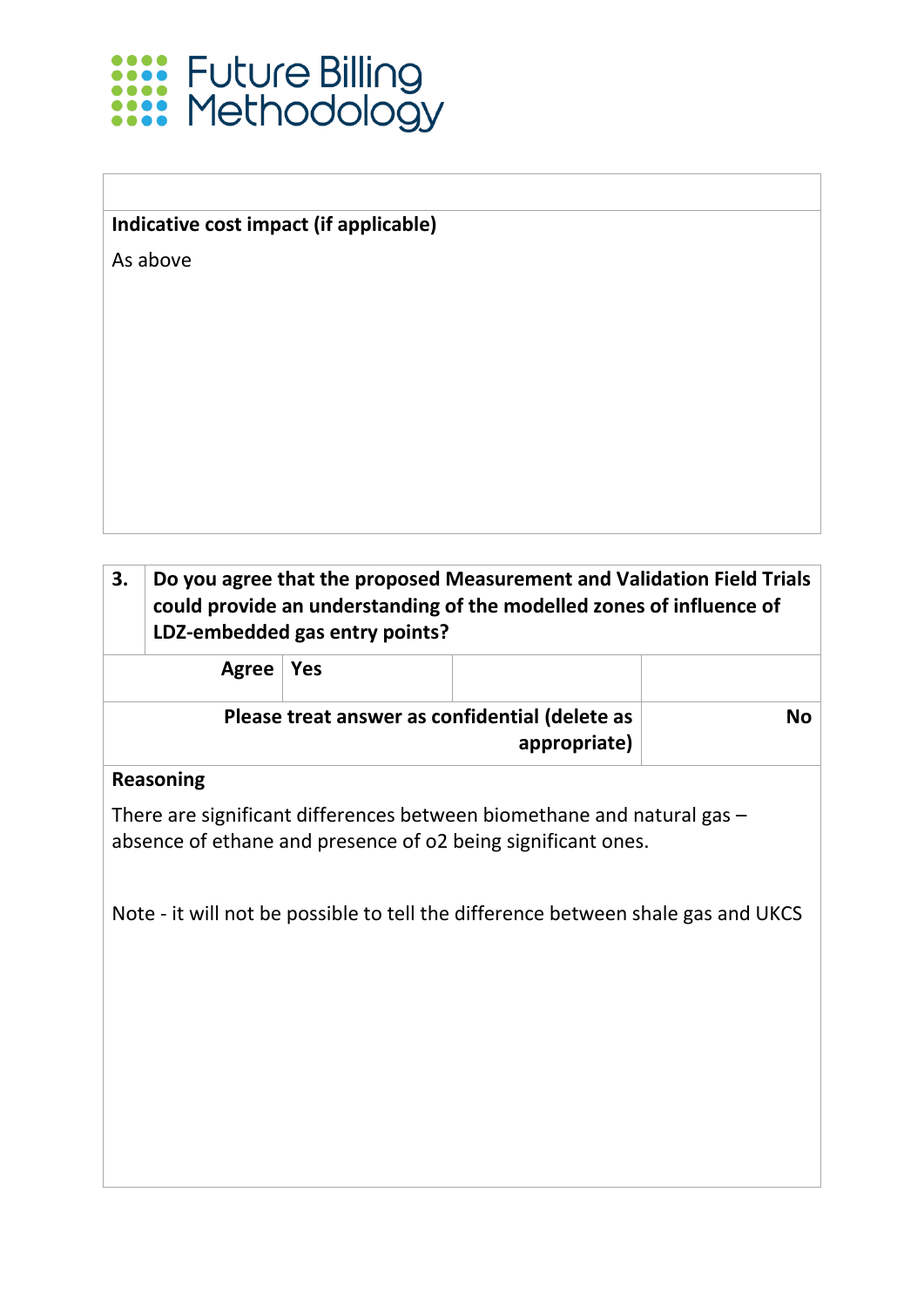

As above

#### **3. Do you agree that the proposed Measurement and Validation Field Trials could provide an understanding of the modelled zones of influence of LDZ-embedded gas entry points?**

| Agree   Yes |                                                                |    |
|-------------|----------------------------------------------------------------|----|
|             | Please treat answer as confidential (delete as<br>appropriate) | No |

#### **Reasoning**

There are significant differences between biomethane and natural gas – absence of ethane and presence of o2 being significant ones.

Note - it will not be possible to tell the difference between shale gas and UKCS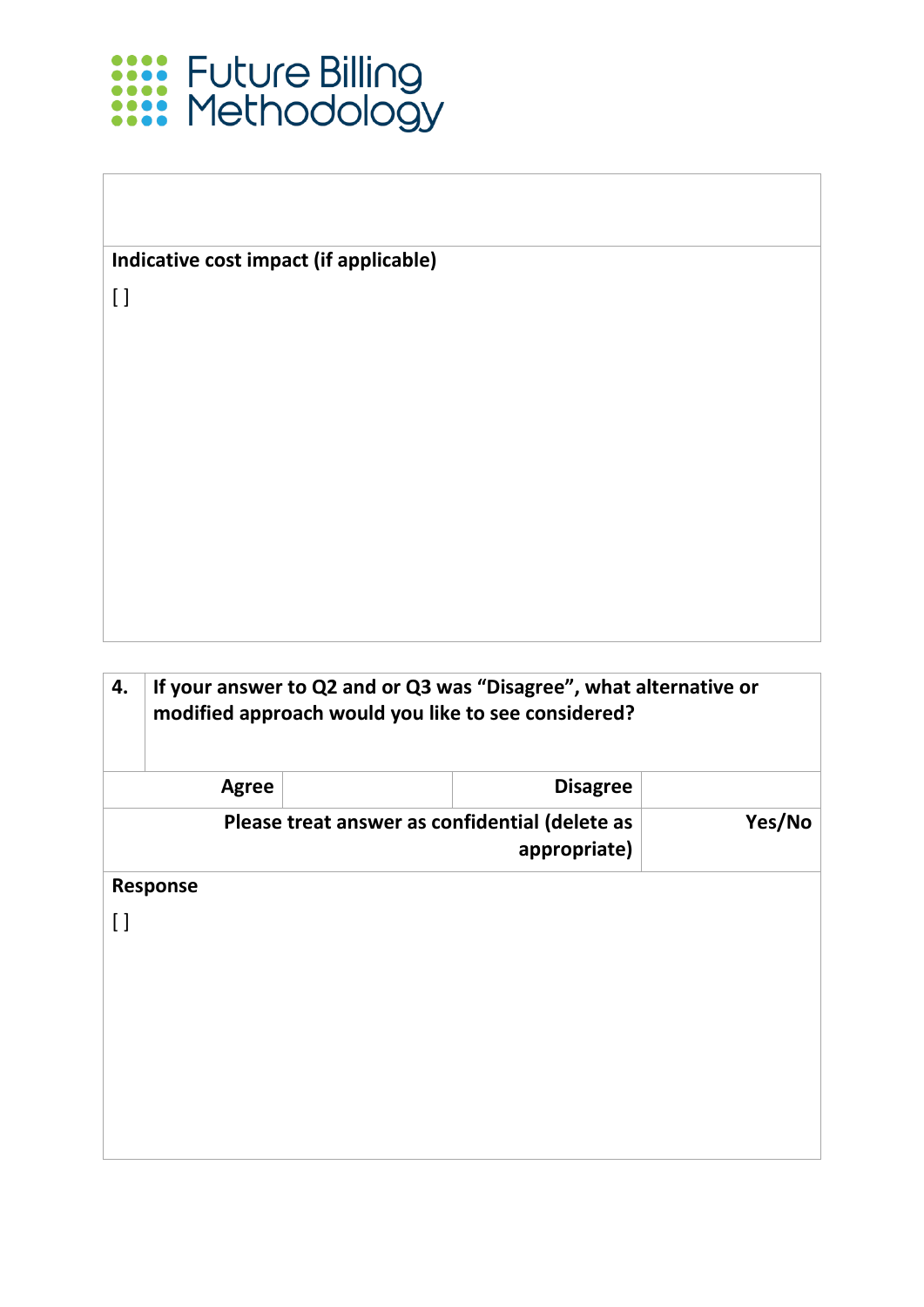

[ ]

| If your answer to Q2 and or Q3 was "Disagree", what alternative or<br>modified approach would you like to see considered? |                 |  |  |  |
|---------------------------------------------------------------------------------------------------------------------------|-----------------|--|--|--|
| <b>Agree</b>                                                                                                              | <b>Disagree</b> |  |  |  |
| Please treat answer as confidential (delete as<br>Yes/No<br>appropriate)                                                  |                 |  |  |  |
|                                                                                                                           |                 |  |  |  |
|                                                                                                                           |                 |  |  |  |
|                                                                                                                           |                 |  |  |  |
|                                                                                                                           |                 |  |  |  |
|                                                                                                                           |                 |  |  |  |
|                                                                                                                           |                 |  |  |  |
|                                                                                                                           |                 |  |  |  |
|                                                                                                                           | <b>Response</b> |  |  |  |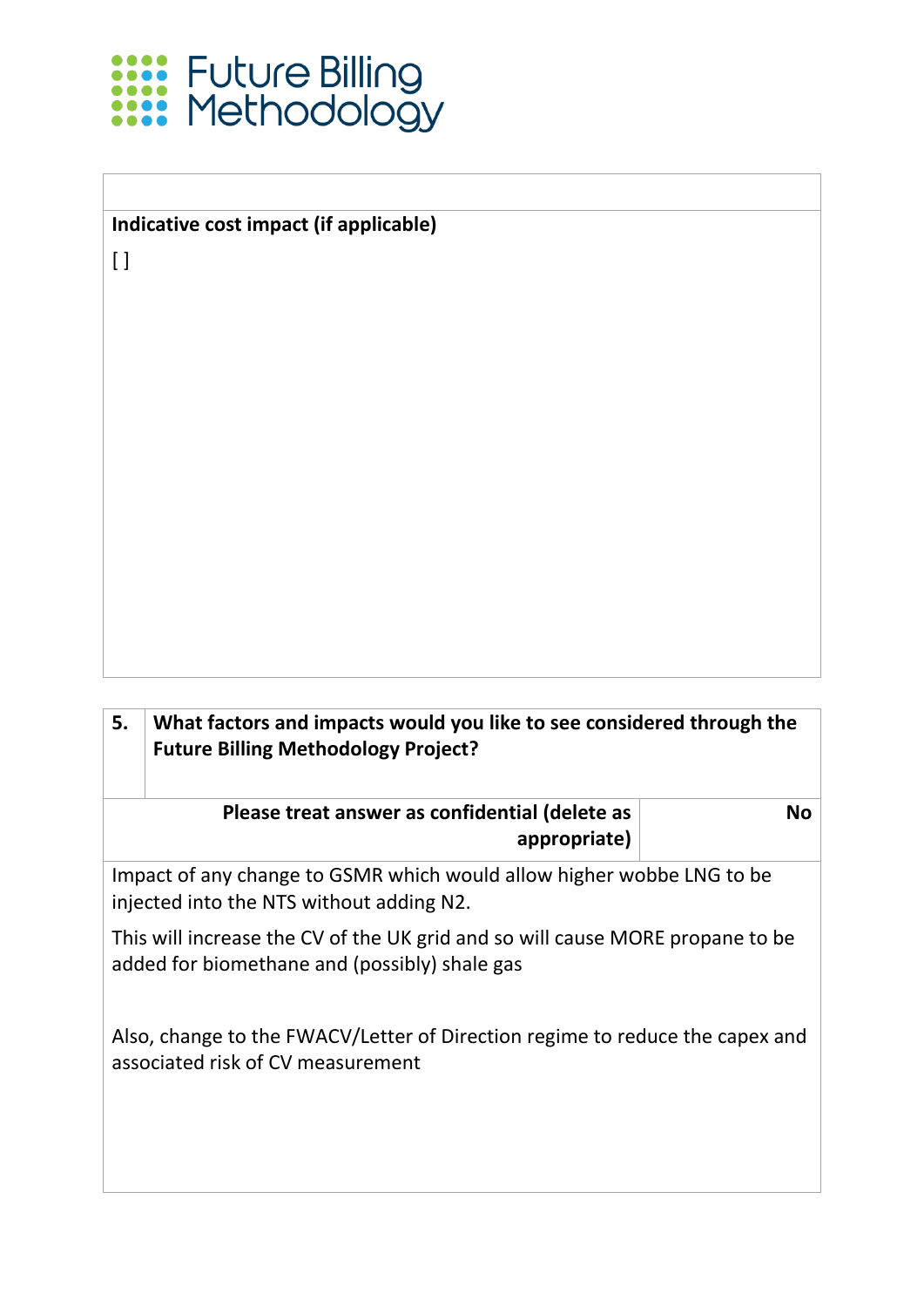

 $\lbrack$ 

| 5.                                                                                                                             | What factors and impacts would you like to see considered through the<br><b>Future Billing Methodology Project?</b> |    |  |  |
|--------------------------------------------------------------------------------------------------------------------------------|---------------------------------------------------------------------------------------------------------------------|----|--|--|
|                                                                                                                                | Please treat answer as confidential (delete as<br>appropriate)                                                      | No |  |  |
| Impact of any change to GSMR which would allow higher wobbe LNG to be<br>injected into the NTS without adding N2.              |                                                                                                                     |    |  |  |
| This will increase the CV of the UK grid and so will cause MORE propane to be<br>added for biomethane and (possibly) shale gas |                                                                                                                     |    |  |  |
| Also, change to the FWACV/Letter of Direction regime to reduce the capex and<br>associated risk of CV measurement              |                                                                                                                     |    |  |  |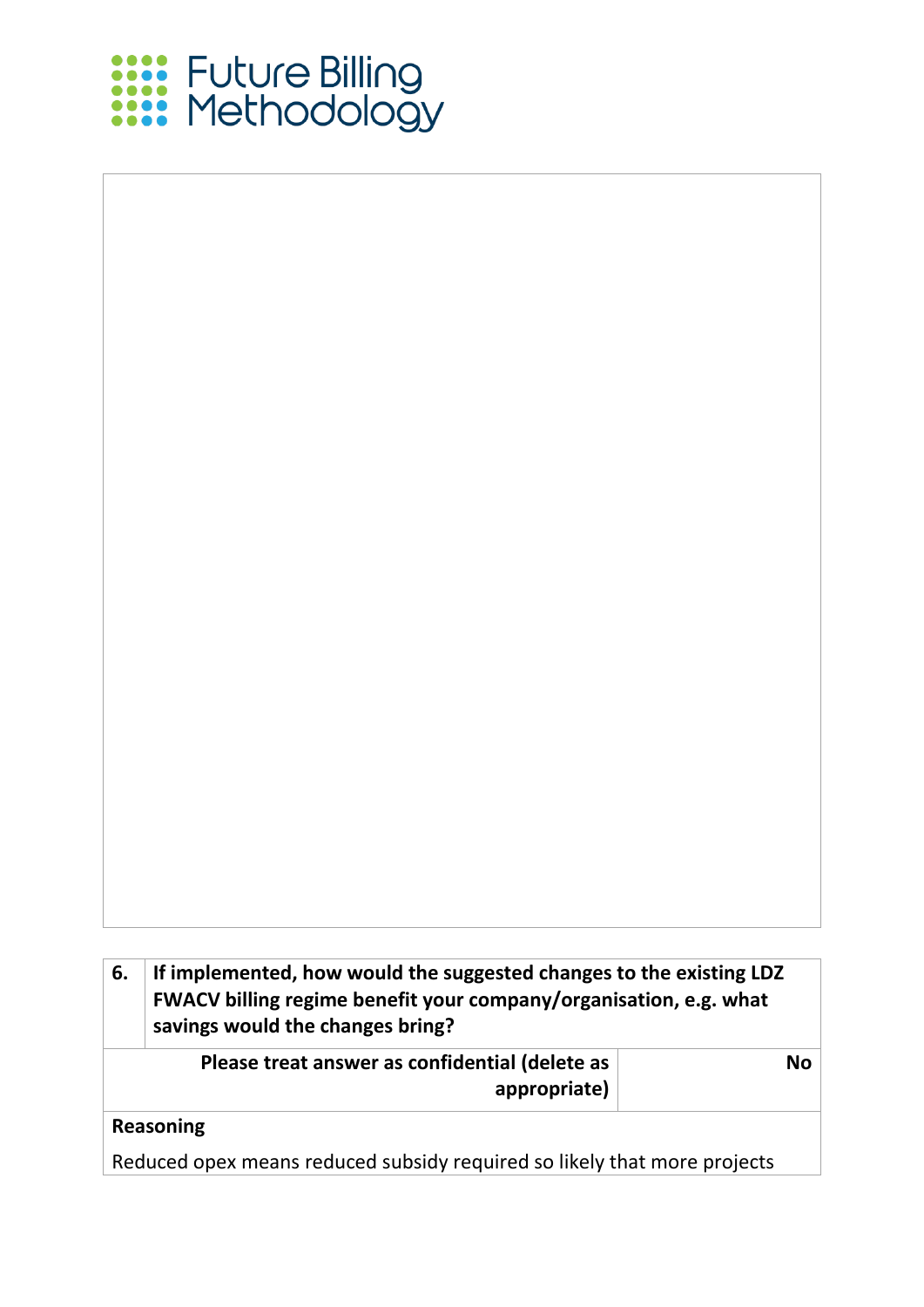

| If implemented, how would the suggested changes to the existing LDZ<br>6.<br>FWACV billing regime benefit your company/organisation, e.g. what<br>savings would the changes bring? |                                                                          |           |  |
|------------------------------------------------------------------------------------------------------------------------------------------------------------------------------------|--------------------------------------------------------------------------|-----------|--|
|                                                                                                                                                                                    | Please treat answer as confidential (delete as<br>appropriate)           | <b>No</b> |  |
|                                                                                                                                                                                    | <b>Reasoning</b>                                                         |           |  |
|                                                                                                                                                                                    | Reduced opex means reduced subsidy required so likely that more projects |           |  |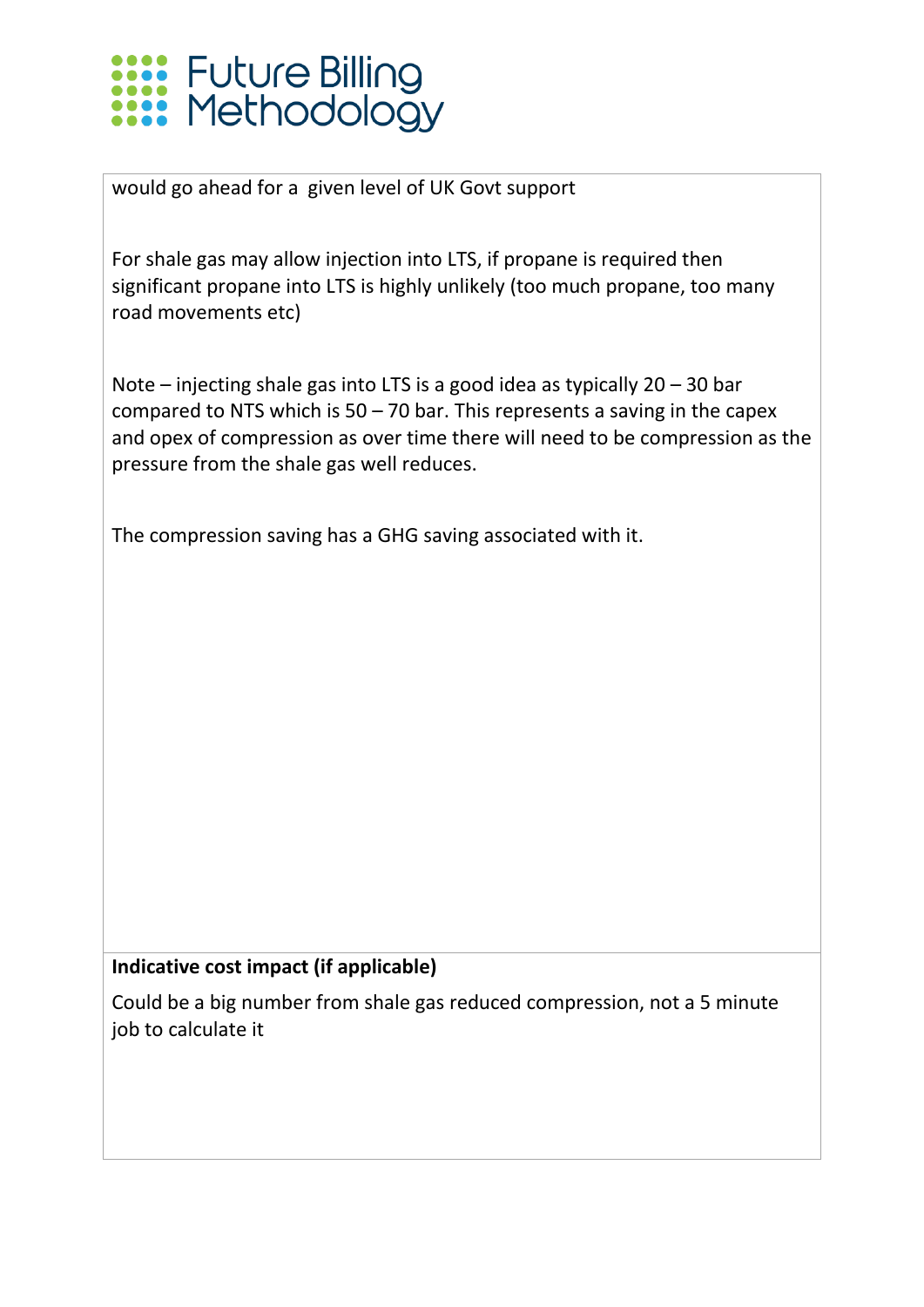## **XXXX** Future Billing<br>XXXX Methodology

would go ahead for a given level of UK Govt support

For shale gas may allow injection into LTS, if propane is required then significant propane into LTS is highly unlikely (too much propane, too many road movements etc)

Note – injecting shale gas into LTS is a good idea as typically 20 – 30 bar compared to NTS which is  $50 - 70$  bar. This represents a saving in the capex and opex of compression as over time there will need to be compression as the pressure from the shale gas well reduces.

The compression saving has a GHG saving associated with it.

#### **Indicative cost impact (if applicable)**

Could be a big number from shale gas reduced compression, not a 5 minute job to calculate it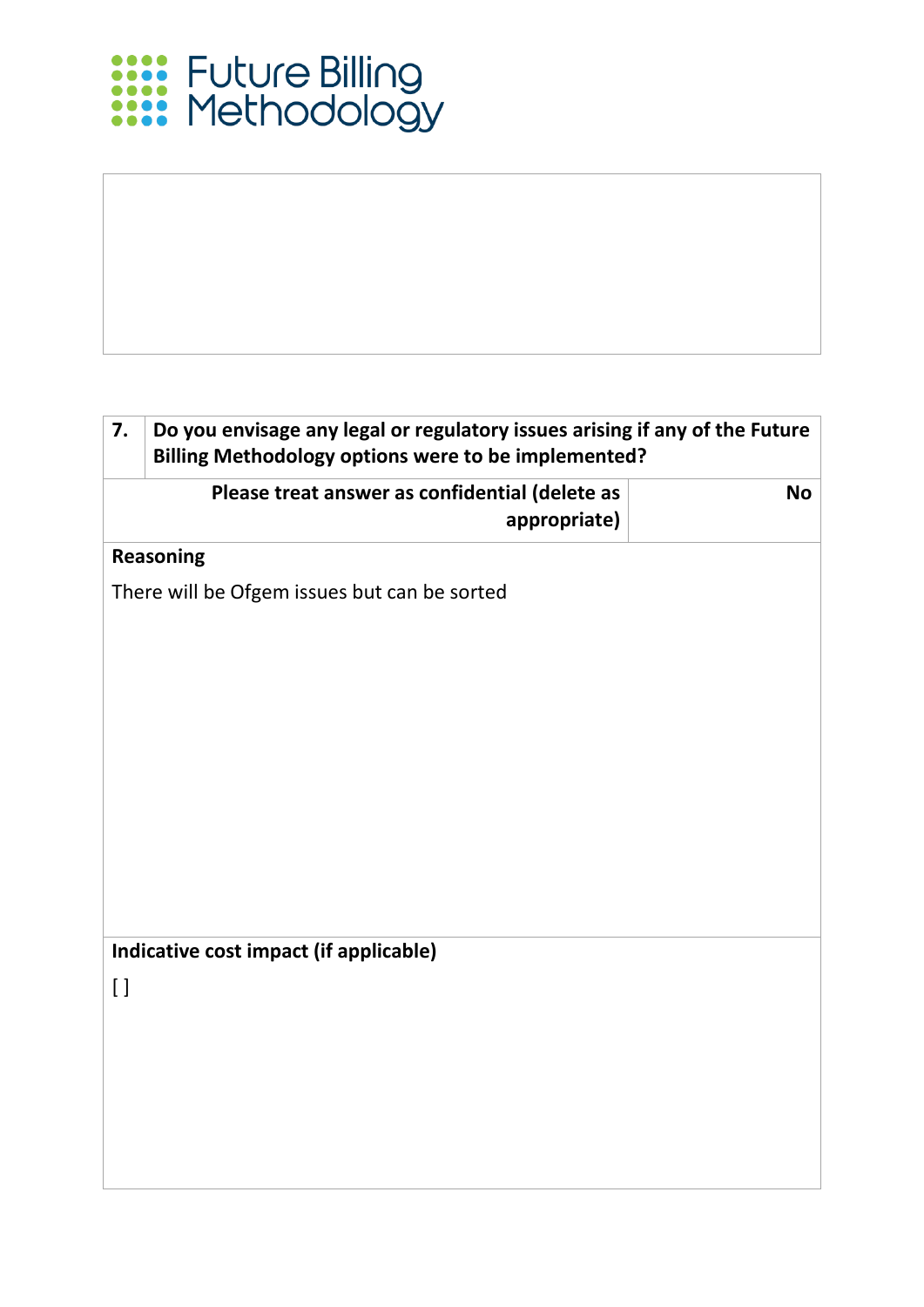

## **7. Do you envisage any legal or regulatory issues arising if any of the Future Billing Methodology options were to be implemented? Please treat answer as confidential (delete as appropriate) No Reasoning** There will be Ofgem issues but can be sorted **Indicative cost impact (if applicable)**  $[ ]$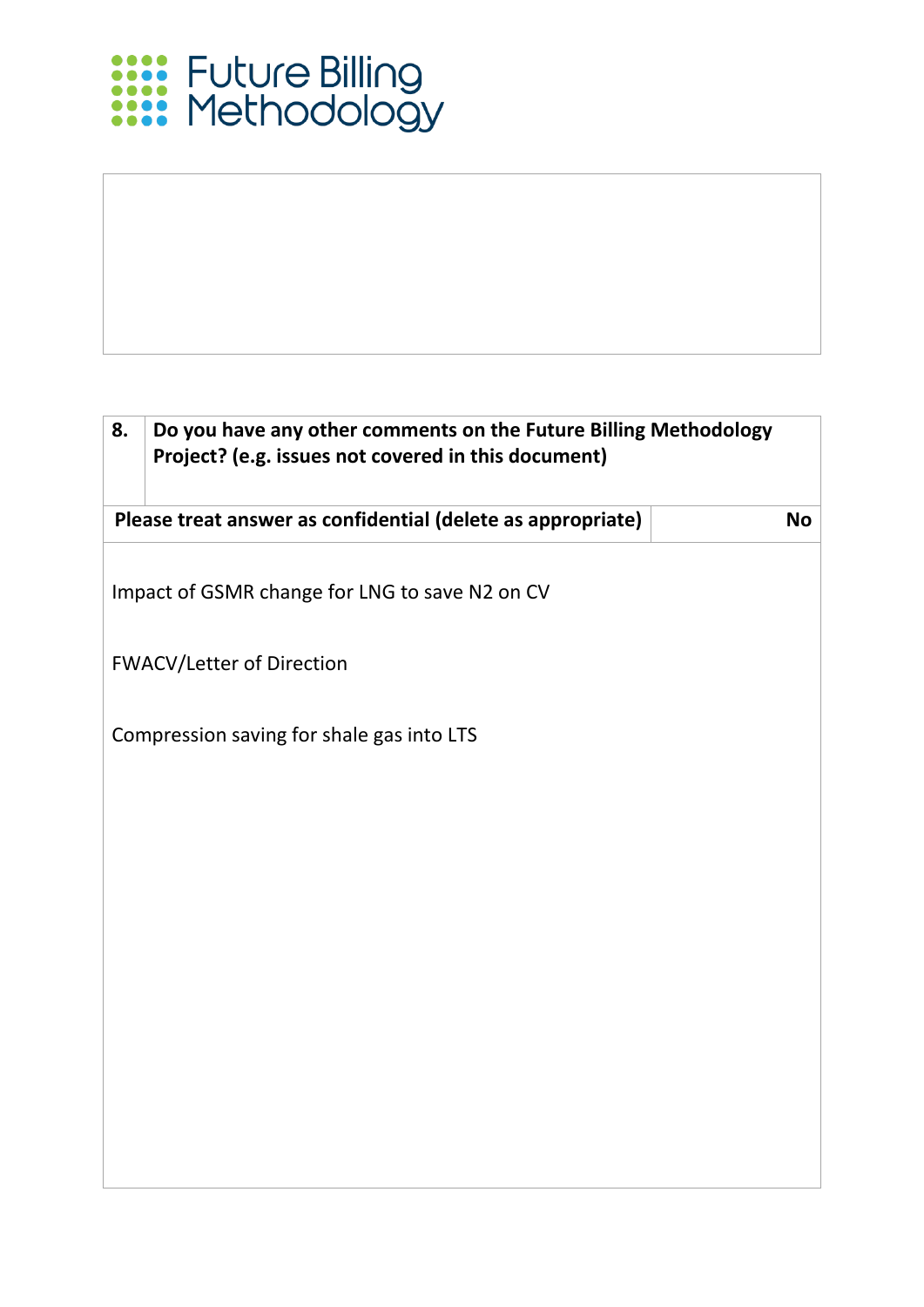# **Exist** Future Billing<br> **Exist Methodology**

### **8. Do you have any other comments on the Future Billing Methodology Project? (e.g. issues not covered in this document) Please treat answer as confidential (delete as appropriate) No** Impact of GSMR change for LNG to save N2 on CV FWACV/Letter of Direction Compression saving for shale gas into LTS